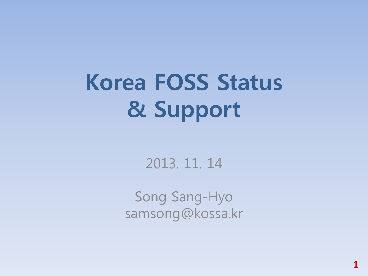# Korea FOSS Status & Support

#### 2013. 11. 14

Song Sang-Hyo samsong@kossa.kr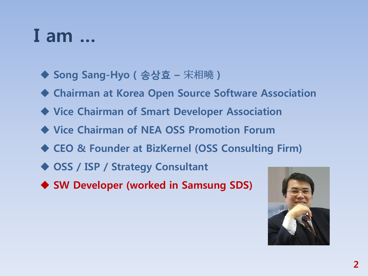### I am …

- ◆ Song Sang-Hyo ( 송상효 宋相曉 )
- Chairman at Korea Open Source Software Association
- Vice Chairman of Smart Developer Association
- ◆ Vice Chairman of NEA OSS Promotion Forum
- ◆ CEO & Founder at BizKernel (OSS Consulting Firm)
- ◆ OSS / ISP / Strategy Consultant
- ◆ SW Developer (worked in Samsung SDS)

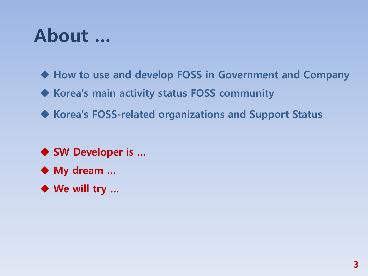### About …

◆ How to use and develop FOSS in Government and Company

Korea's main activity status FOSS community

◆ Korea's FOSS-related organizations and Support Status

◆ SW Developer is ...

◆ My dream ...

◆ We will try ...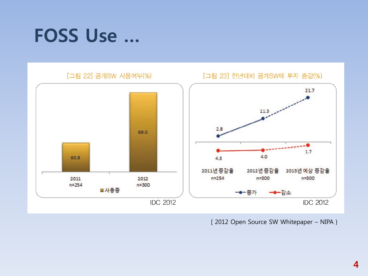### **FOSS Use ...**



[2012 Open Source SW Whitepaper - NIPA }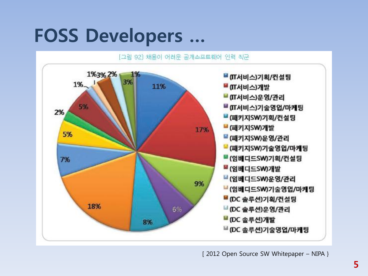### FOSS Developers …

[그림 92] 채용이 어려운 공개소프트웨어 인력 직군 1%3%2% 1% ■ (IT서비스)기획/컨설팅 3% 1%. 11% ■ (IT서비스)개발 ■ (IT서비스)운영/관리 5% ■ (IT서비스)기술영업/마케팅 2% ■ (패키지SW)기획/컨설팅 ■ (패키지SW)개발 17% 5% ■ (패키지SW)운영/관리 ■ (패키지SW)기술영업/마케팅 ■(임베디드SW)기획/컨설팅 7% ■(임베디드SW)개발 ■(임베디드SW)운영/관리 9% ■(임베디드SW)기술영업/마케팅 ■ (DC 솔루션)기획/컨설팅 18% 6% ■ (DC 솔루션)운영/관리 ■ (DC 솔루션)개발 8% ■ (DC 솔루션)기술영업/마케팅

[ 2012 Open Source SW Whitepaper – NIPA }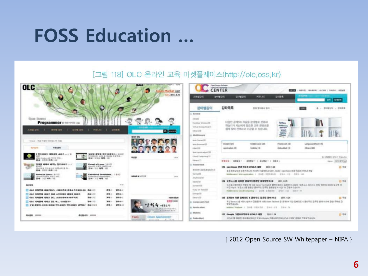### FOSS Education …

#### [그림 118] OLC 온라인 교육 마켓플레이스(http://olc.oss.kr)

| <b>OLC</b>                                                                                                                                                                                                                   | <b>ANTIS 2 VENERAL LENSIN 1 A PE</b><br><b>BELIEVES</b><br>on Morket appt<br><b>OLCIBIL A/B</b> | 凸端键盘性                                                                                                          | Oper Source Behaves<br>Administration Contains and by<br><b>CENTER</b><br>53.77<br>ARRIVE : HANGIN 1 OLCHN   JOHNS   HENN<br>PERLICE<br><b>DIRE</b><br>初期初期<br><b>MOVE 1215</b> | <b>DIRECT GIRDEN</b> |
|------------------------------------------------------------------------------------------------------------------------------------------------------------------------------------------------------------------------------|-------------------------------------------------------------------------------------------------|----------------------------------------------------------------------------------------------------------------|---------------------------------------------------------------------------------------------------------------------------------------------------------------------------------|----------------------|
| c                                                                                                                                                                                                                            |                                                                                                 | MOPM 강의                                                                                                        | 召掛尾属<br><b>BYR WIDEH 215</b><br>45.3                                                                                                                                            | 贾可能记忆 - 2/6/年度       |
|                                                                                                                                                                                                                              |                                                                                                 | - Swidesk                                                                                                      |                                                                                                                                                                                 |                      |
| <b>GIUSU (TOMMS)</b><br>Programmer a nervous pa<br>小峰區 初照 二十<br>014198 3316 1<br><b>PERSONAL</b><br>け対象車<br><b>BIVER DIRECT ST</b>                                                                                           | <b>Q</b> ENDS<br><b>BHAN 250</b>                                                                | <b>UNITED</b><br>Excel but Witnessell'S<br>Virtual Conquisity (11)<br>$0$ thus $\sqrt{10}$<br>iii Middlerssore | 다양한 공계5k 기술을 분야별로 분류해<br><b>Tyylano</b><br>학습지기 자신에게 일으란 교육 콘텐츠를<br><b>Hiddungs</b><br>Ħ<br>쉽게 찾아 선택하고 수강할 수 있습니다.<br>温                                                         |                      |
| + Joace - If @ 919221 501052 290 408<br>46.04<br><b>ROPAGERS</b>                                                                                                                                                             | <b>BILBAC</b>                                                                                   | <b>Imail SamuelCSS</b><br>Web Boosever(1)<br>EXHAUST<br>West, Applicaduit(10)                                  | Suckey (31)<br>Middlewane CIST<br><b>Francisco (3)</b><br>Language@Tual (15)<br>Diffuse 1808<br>Adopting 232<br>Elisabled III<br>Abbrication CIT                                |                      |
| 野东省城东 清野神智 相相思  / 8<br>精製 海蟹區 铜锌 相關語 6 / 三三2<br>THE MUSCLE WILL BE MANUAL IN MITH R.<br>22.44 - 10 2114 2414 - 1111<br>Mike Context-Jul 709392 976L                                                                          | AHVA<br>$n =$                                                                                   | Elimol Chinacologi IV                                                                                          |                                                                                                                                                                                 | A ONNI 2501 Tolutz   |
| 数单: 在室型 海唯: 480                                                                                                                                                                                                              |                                                                                                 | (Ellistered)                                                                                                   | <b>MB2N BASE1   30921   3NB21   2ND1</b>                                                                                                                                        | me (SIX BVG)         |
| <b>EFRIE HENE HEVIS EFRIENDEL</b> /<br>Kennet of Lieux / 01157<br><b>The Last Arts</b><br>Line (Dalet VI Middle Steppe)<br>HALL CALIF THIS ARTISTS WERE LIKE UP FO<br>2021 2070 1:035<br><b>BALL</b><br><b>塑場 11年1 再增:15</b> |                                                                                                 | in Freastweek<br>生同生成的基本等级的生产                                                                                  | 125 esseisan 药语子觉得 HTML5 周暂<br>2011.11.28<br>美萨多林甘甸当 宝贵州界山松 网16号 HighelBlud (2011, 10, 20) - aspiritume 形态平区路 inffiniti 写型                                                      | 四室底                  |
| <b>Kinned of Linese</b> / B (252)<br>Embedded Developme / B107<br>and looking bearty ave<br>instantiant Development.<br>20号 三三万号 10<br>数据:三个项目 (四)                                                                           | <b><i>BIEWS &amp; NOTICE</i></b><br>m w.                                                        | Tarringhth<br>Anythene (12)                                                                                    | Middleweek Web Abdication 1 Elvill (STAD) 10 ESA 131 SEC 145                                                                                                                    |                      |
|                                                                                                                                                                                                                              |                                                                                                 | EXVISTS.                                                                                                       | 124 交流水凸版 特惠舒 游战琴乐器高轻 谢振智器诗 喊<br>2011.11.25                                                                                                                                     | 四下面                  |
| <b>MUSIC</b><br>$-10-10$<br>□ OLC 巧取性师 对视古ENS, 스레杉直将 送地点开启培林 GS (848 31)<br>34.4<br>2010-1                                                                                                                                   |                                                                                                 | Sandwich (35)<br><b>Rutty on Easts(III</b>                                                                     | 누리결스회어에서 간명된 제 16회 Giren Tachinet 곧 불편적절미타 감명한 드시입의 '불론소스 80디코스 관리' 업인의 KH4의 입상적 복<br>체결시내의, '표현소수를 결혼한 플라우는 컴퓨팅 할문법법과 시작' 이 전통의부습니다.                                           |                      |
| 2010年11<br>一 666 万南野峰 月报兰 282 三兰尼德州 晶显滑 口帐所<br><b>BAK 222</b><br>海性 3                                                                                                                                                        |                                                                                                 | <b>Timmgellik</b>                                                                                              | Hiddenmar Claud Senators 1 2019 ESSEN 2010 120 120 220 120 120                                                                                                                  |                      |
| <b>WAR 217</b><br>OLC NRTH 4012 EXL ARRIBHM NINNA<br>2874 (2 - 1)<br>海地山                                                                                                                                                     | HOT ISSUE                                                                                       | Elbana222                                                                                                      | 123 直播加 709 目相同长 4 首指早长 首首型 至66 相占<br>2011.11.24                                                                                                                                | 口节目                  |
| OLC NRTH AND DL N., OSSERT<br><b>BAR ZID</b><br>2010-1<br>海港:1<br><b>BRS</b> 0-10<br>T 72 NSN ANN NNH 9954NS 9954NS EVAL BA 155<br>36 Hz                                                                                     | <b>BESTERN</b><br><b>基层 2002年 英 2003年 9月</b> 9月<br>富士吉保守を行きたす                                   | ill. 1. onsnoape & Tout<br>G. Airplin allow                                                                    | / 작성 Banco 2호 세터니실에서 전략형 제 서울 Ocen Tachnal 큰 표적까지 1999 입에디든 4 분야로는 일본학 방미 이슈에 전략 주에로 전<br>智習習道は以上<br>MARK / Fielber 1 049 831131 0314-12 2314 10                                |                      |
| <b>BERNATE HOUSE</b><br><b>KINGER HOUSE</b>                                                                                                                                                                                  | FAC<br><b>Open Marketzen</b>                                                                    | G. MASSIM<br>di Embadded                                                                                       | 122 Google 当属材架早地板 HTMLS 难望<br>2011.11.24<br>VOALEM 指着性 能将重点用印法 阿斯东Google 选重加显布明能 HTMLS 所M" 将现象 空管架性自动区                                                                         | <b>D 94</b>          |

[ 2012 Open Source SW Whitepaper - NIPA }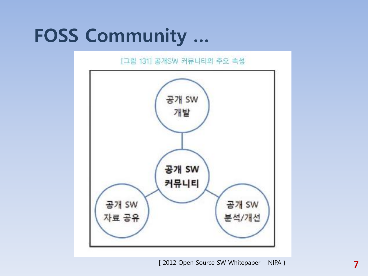# **FOSS Community ...**

#### [그림 131] 공개SW 커뮤니티의 주요 속성

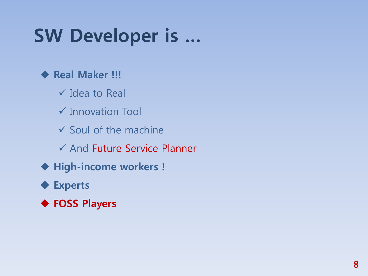# SW Developer is …

#### ◆ Real Maker !!!

- $\checkmark$  Idea to Real
- Innovation Tool
- $\checkmark$  Soul of the machine
- $\checkmark$  And Future Service Planner
- High-income workers !

#### ◆ Experts

◆ FOSS Players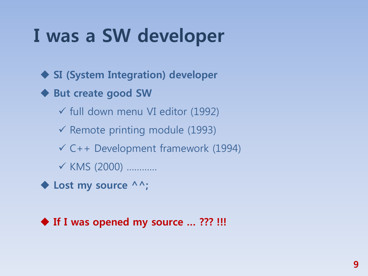# I was a SW developer

◆ SI (System Integration) developer

◆ But create good SW

 $\checkmark$  full down menu VI editor (1992)

- $\checkmark$  Remote printing module (1993)
- $\checkmark$  C++ Development framework (1994)
- KMS (2000) …………

◆ Lost my source ^^;

#### ◆ If I was opened my source ... ??? !!!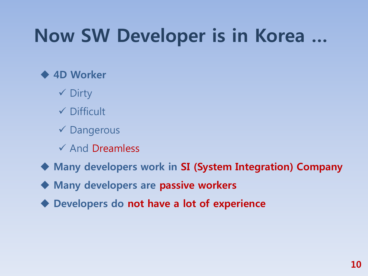# Now SW Developer is in Korea …

#### 4D Worker

- $\checkmark$  Dirty
- $\checkmark$  Difficult
- $\checkmark$  Dangerous
- $\checkmark$  And Dreamless
- Many developers work in SI (System Integration) Company
- ◆ Many developers are passive workers
- ◆ Developers do not have a lot of experience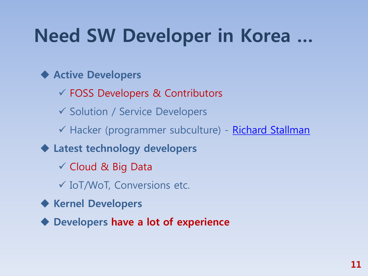# Need SW Developer in Korea …

#### ◆ Active Developers

- FOSS Developers & Contributors
- ✔ Solution / Service Developers
- √ Hacker (programmer subculture) [Richard Stallman](http://en.wikipedia.org/wiki/Richard_Stallman)
- Latest technology developers
	- $\checkmark$  Cloud & Big Data
	- IoT/WoT, Conversions etc.
- ◆ Kernel Developers
- ◆ Developers have a lot of experience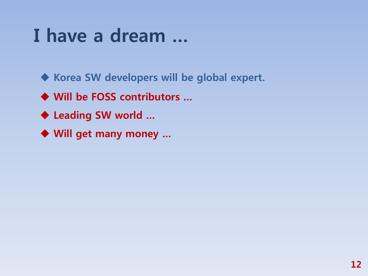### I have a dream …

◆ Korea SW developers will be global expert.

- ◆ Will be FOSS contributors ...
- ◆ Leading SW world ...
- ◆ Will get many money ...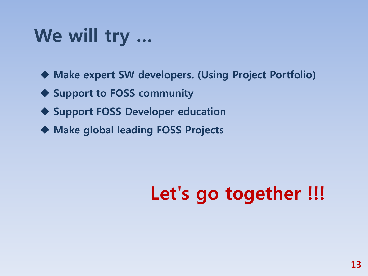# We will try …

Make expert SW developers. (Using Project Portfolio)

◆ Support to FOSS community

◆ Support FOSS Developer education

Make global leading FOSS Projects

# Let's go together !!!